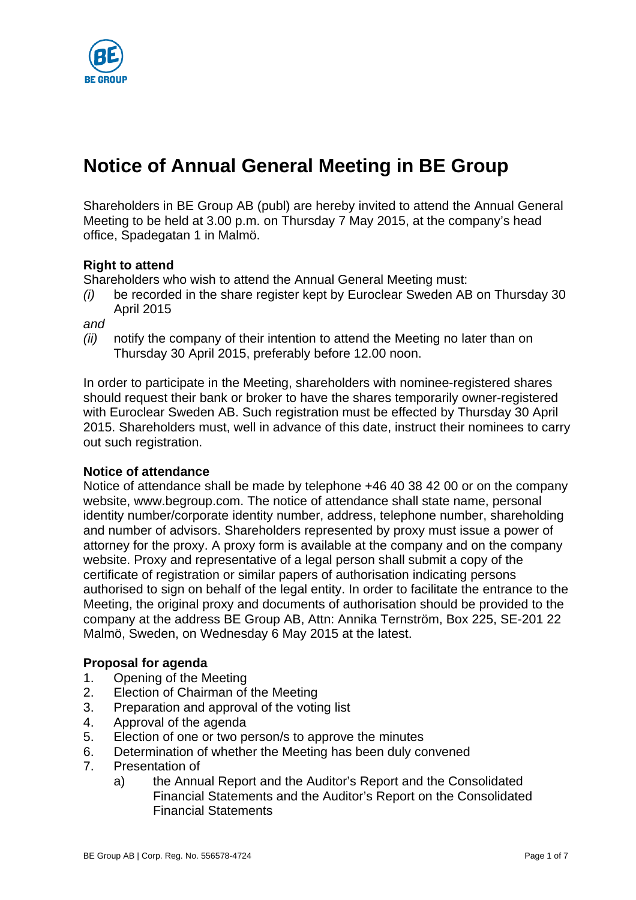

# **Notice of Annual General Meeting in BE Group**

Shareholders in BE Group AB (publ) are hereby invited to attend the Annual General Meeting to be held at 3.00 p.m. on Thursday 7 May 2015, at the company's head office, Spadegatan 1 in Malmö.

## **Right to attend**

Shareholders who wish to attend the Annual General Meeting must:

*(i)* be recorded in the share register kept by Euroclear Sweden AB on Thursday 30 April 2015

*and* 

*(ii)* notify the company of their intention to attend the Meeting no later than on Thursday 30 April 2015, preferably before 12.00 noon.

In order to participate in the Meeting, shareholders with nominee-registered shares should request their bank or broker to have the shares temporarily owner-registered with Euroclear Sweden AB. Such registration must be effected by Thursday 30 April 2015. Shareholders must, well in advance of this date, instruct their nominees to carry out such registration.

#### **Notice of attendance**

Notice of attendance shall be made by telephone +46 40 38 42 00 or on the company website, www.begroup.com. The notice of attendance shall state name, personal identity number/corporate identity number, address, telephone number, shareholding and number of advisors. Shareholders represented by proxy must issue a power of attorney for the proxy. A proxy form is available at the company and on the company website. Proxy and representative of a legal person shall submit a copy of the certificate of registration or similar papers of authorisation indicating persons authorised to sign on behalf of the legal entity. In order to facilitate the entrance to the Meeting, the original proxy and documents of authorisation should be provided to the company at the address BE Group AB, Attn: Annika Ternström, Box 225, SE-201 22 Malmö, Sweden, on Wednesday 6 May 2015 at the latest.

## **Proposal for agenda**

- 1. Opening of the Meeting
- 2. Election of Chairman of the Meeting
- 3. Preparation and approval of the voting list
- 4. Approval of the agenda
- 5. Election of one or two person/s to approve the minutes
- 6. Determination of whether the Meeting has been duly convened
- 7. Presentation of
	- a) the Annual Report and the Auditor's Report and the Consolidated Financial Statements and the Auditor's Report on the Consolidated Financial Statements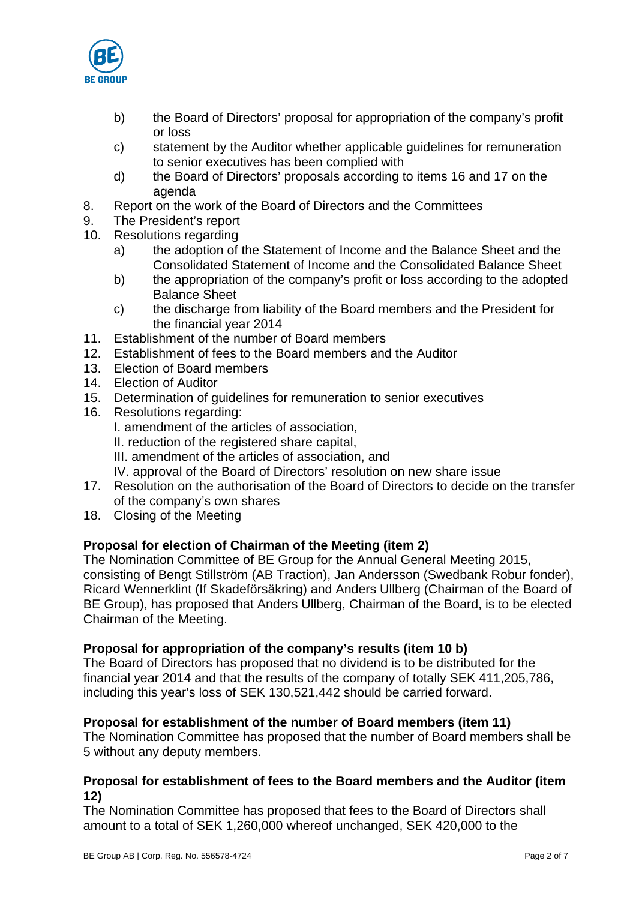

- b) the Board of Directors' proposal for appropriation of the company's profit or loss
- c) statement by the Auditor whether applicable guidelines for remuneration to senior executives has been complied with
- d) the Board of Directors' proposals according to items 16 and 17 on the agenda
- 8. Report on the work of the Board of Directors and the Committees
- 9. The President's report
- 10. Resolutions regarding
	- a) the adoption of the Statement of Income and the Balance Sheet and the Consolidated Statement of Income and the Consolidated Balance Sheet
	- b) the appropriation of the company's profit or loss according to the adopted Balance Sheet
	- c) the discharge from liability of the Board members and the President for the financial year 2014
- 11. Establishment of the number of Board members
- 12. Establishment of fees to the Board members and the Auditor
- 13. Election of Board members
- 14. Election of Auditor
- 15. Determination of guidelines for remuneration to senior executives
- 16. Resolutions regarding:
	- I. amendment of the articles of association,
	- II. reduction of the registered share capital,
	- III. amendment of the articles of association, and
	- IV. approval of the Board of Directors' resolution on new share issue
- 17. Resolution on the authorisation of the Board of Directors to decide on the transfer of the company's own shares
- 18. Closing of the Meeting

## **Proposal for election of Chairman of the Meeting (item 2)**

The Nomination Committee of BE Group for the Annual General Meeting 2015, consisting of Bengt Stillström (AB Traction), Jan Andersson (Swedbank Robur fonder), Ricard Wennerklint (If Skadeförsäkring) and Anders Ullberg (Chairman of the Board of BE Group), has proposed that Anders Ullberg, Chairman of the Board, is to be elected Chairman of the Meeting.

## **Proposal for appropriation of the company's results (item 10 b)**

The Board of Directors has proposed that no dividend is to be distributed for the financial year 2014 and that the results of the company of totally SEK 411,205,786, including this year's loss of SEK 130,521,442 should be carried forward.

## **Proposal for establishment of the number of Board members (item 11)**

The Nomination Committee has proposed that the number of Board members shall be 5 without any deputy members.

## **Proposal for establishment of fees to the Board members and the Auditor (item 12)**

The Nomination Committee has proposed that fees to the Board of Directors shall amount to a total of SEK 1,260,000 whereof unchanged, SEK 420,000 to the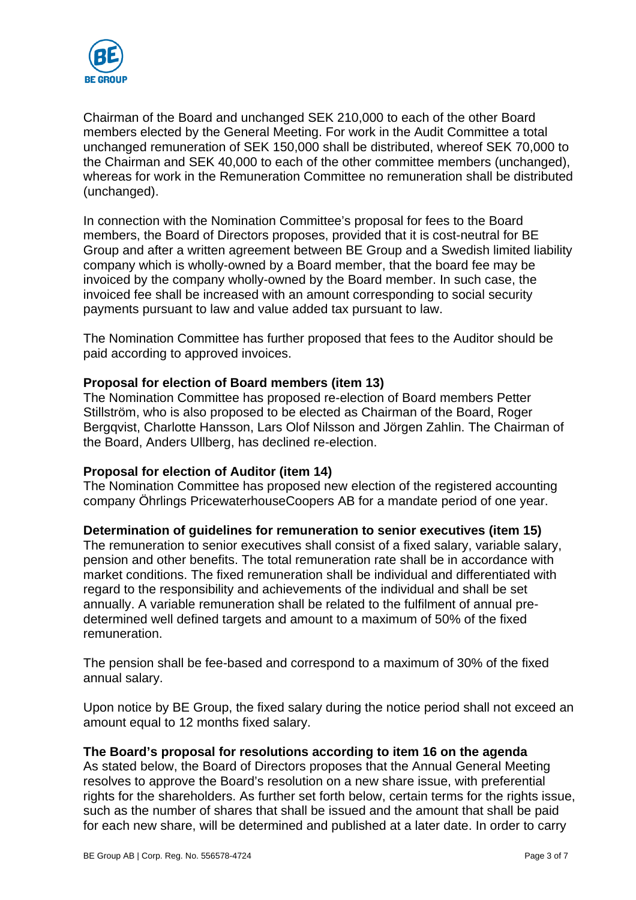

Chairman of the Board and unchanged SEK 210,000 to each of the other Board members elected by the General Meeting. For work in the Audit Committee a total unchanged remuneration of SEK 150,000 shall be distributed, whereof SEK 70,000 to the Chairman and SEK 40,000 to each of the other committee members (unchanged), whereas for work in the Remuneration Committee no remuneration shall be distributed (unchanged).

In connection with the Nomination Committee's proposal for fees to the Board members, the Board of Directors proposes, provided that it is cost-neutral for BE Group and after a written agreement between BE Group and a Swedish limited liability company which is wholly-owned by a Board member, that the board fee may be invoiced by the company wholly-owned by the Board member. In such case, the invoiced fee shall be increased with an amount corresponding to social security payments pursuant to law and value added tax pursuant to law.

The Nomination Committee has further proposed that fees to the Auditor should be paid according to approved invoices.

## **Proposal for election of Board members (item 13)**

The Nomination Committee has proposed re-election of Board members Petter Stillström, who is also proposed to be elected as Chairman of the Board, Roger Bergqvist, Charlotte Hansson, Lars Olof Nilsson and Jörgen Zahlin. The Chairman of the Board, Anders Ullberg, has declined re-election.

#### **Proposal for election of Auditor (item 14)**

The Nomination Committee has proposed new election of the registered accounting company Öhrlings PricewaterhouseCoopers AB for a mandate period of one year.

#### **Determination of guidelines for remuneration to senior executives (item 15)**

The remuneration to senior executives shall consist of a fixed salary, variable salary, pension and other benefits. The total remuneration rate shall be in accordance with market conditions. The fixed remuneration shall be individual and differentiated with regard to the responsibility and achievements of the individual and shall be set annually. A variable remuneration shall be related to the fulfilment of annual predetermined well defined targets and amount to a maximum of 50% of the fixed remuneration.

The pension shall be fee-based and correspond to a maximum of 30% of the fixed annual salary.

Upon notice by BE Group, the fixed salary during the notice period shall not exceed an amount equal to 12 months fixed salary.

#### **The Board's proposal for resolutions according to item 16 on the agenda**

As stated below, the Board of Directors proposes that the Annual General Meeting resolves to approve the Board's resolution on a new share issue, with preferential rights for the shareholders. As further set forth below, certain terms for the rights issue, such as the number of shares that shall be issued and the amount that shall be paid for each new share, will be determined and published at a later date. In order to carry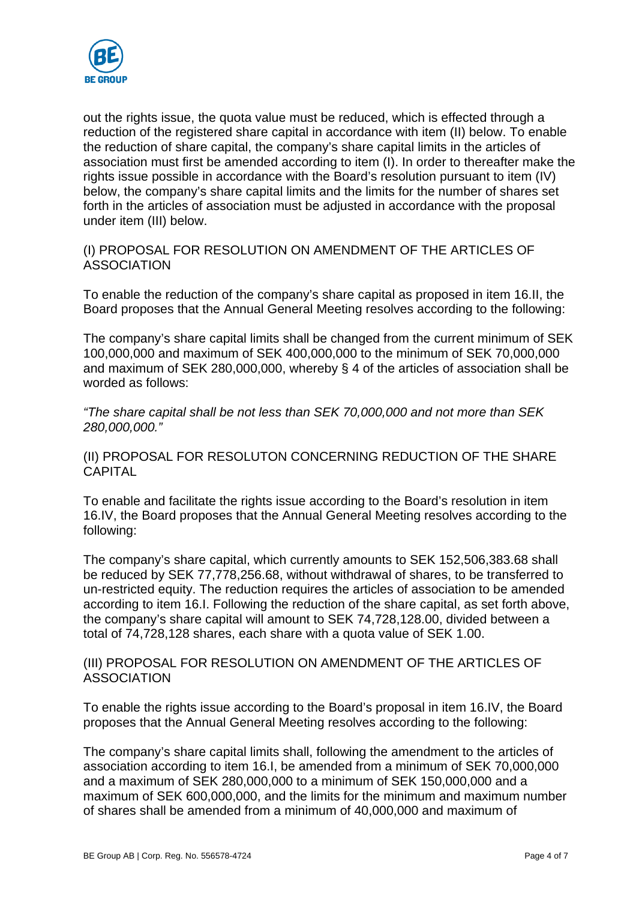

out the rights issue, the quota value must be reduced, which is effected through a reduction of the registered share capital in accordance with item (II) below. To enable the reduction of share capital, the company's share capital limits in the articles of association must first be amended according to item (I). In order to thereafter make the rights issue possible in accordance with the Board's resolution pursuant to item (IV) below, the company's share capital limits and the limits for the number of shares set forth in the articles of association must be adjusted in accordance with the proposal under item (III) below.

(I) PROPOSAL FOR RESOLUTION ON AMENDMENT OF THE ARTICLES OF ASSOCIATION

To enable the reduction of the company's share capital as proposed in item 16.II, the Board proposes that the Annual General Meeting resolves according to the following:

The company's share capital limits shall be changed from the current minimum of SEK 100,000,000 and maximum of SEK 400,000,000 to the minimum of SEK 70,000,000 and maximum of SEK 280,000,000, whereby § 4 of the articles of association shall be worded as follows:

*"The share capital shall be not less than SEK 70,000,000 and not more than SEK 280,000,000."* 

(II) PROPOSAL FOR RESOLUTON CONCERNING REDUCTION OF THE SHARE CAPITAL

To enable and facilitate the rights issue according to the Board's resolution in item 16.IV, the Board proposes that the Annual General Meeting resolves according to the following:

The company's share capital, which currently amounts to SEK 152,506,383.68 shall be reduced by SEK 77,778,256.68, without withdrawal of shares, to be transferred to un-restricted equity. The reduction requires the articles of association to be amended according to item 16.I. Following the reduction of the share capital, as set forth above, the company's share capital will amount to SEK 74,728,128.00, divided between a total of 74,728,128 shares, each share with a quota value of SEK 1.00.

(III) PROPOSAL FOR RESOLUTION ON AMENDMENT OF THE ARTICLES OF ASSOCIATION

To enable the rights issue according to the Board's proposal in item 16.IV, the Board proposes that the Annual General Meeting resolves according to the following:

The company's share capital limits shall, following the amendment to the articles of association according to item 16.I, be amended from a minimum of SEK 70,000,000 and a maximum of SEK 280,000,000 to a minimum of SEK 150,000,000 and a maximum of SEK 600,000,000, and the limits for the minimum and maximum number of shares shall be amended from a minimum of 40,000,000 and maximum of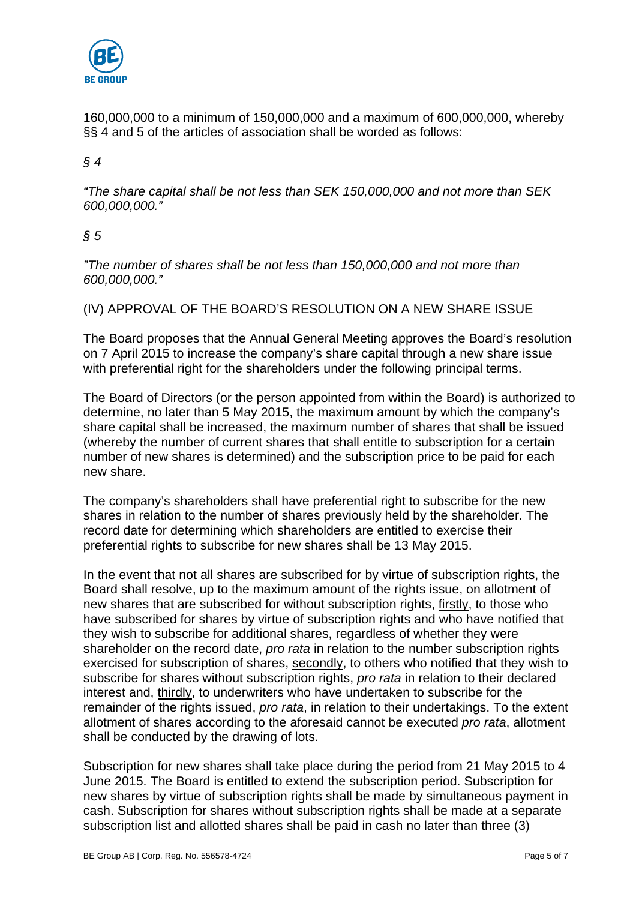

160,000,000 to a minimum of 150,000,000 and a maximum of 600,000,000, whereby §§ 4 and 5 of the articles of association shall be worded as follows:

## *§ 4*

*"The share capital shall be not less than SEK 150,000,000 and not more than SEK 600,000,000."* 

## *§ 5*

*"The number of shares shall be not less than 150,000,000 and not more than 600,000,000."* 

#### (IV) APPROVAL OF THE BOARD'S RESOLUTION ON A NEW SHARE ISSUE

The Board proposes that the Annual General Meeting approves the Board's resolution on 7 April 2015 to increase the company's share capital through a new share issue with preferential right for the shareholders under the following principal terms.

The Board of Directors (or the person appointed from within the Board) is authorized to determine, no later than 5 May 2015, the maximum amount by which the company's share capital shall be increased, the maximum number of shares that shall be issued (whereby the number of current shares that shall entitle to subscription for a certain number of new shares is determined) and the subscription price to be paid for each new share.

The company's shareholders shall have preferential right to subscribe for the new shares in relation to the number of shares previously held by the shareholder. The record date for determining which shareholders are entitled to exercise their preferential rights to subscribe for new shares shall be 13 May 2015.

In the event that not all shares are subscribed for by virtue of subscription rights, the Board shall resolve, up to the maximum amount of the rights issue, on allotment of new shares that are subscribed for without subscription rights, firstly, to those who have subscribed for shares by virtue of subscription rights and who have notified that they wish to subscribe for additional shares, regardless of whether they were shareholder on the record date, *pro rata* in relation to the number subscription rights exercised for subscription of shares, secondly, to others who notified that they wish to subscribe for shares without subscription rights, *pro rata* in relation to their declared interest and, thirdly, to underwriters who have undertaken to subscribe for the remainder of the rights issued, *pro rata*, in relation to their undertakings. To the extent allotment of shares according to the aforesaid cannot be executed *pro rata*, allotment shall be conducted by the drawing of lots.

Subscription for new shares shall take place during the period from 21 May 2015 to 4 June 2015. The Board is entitled to extend the subscription period. Subscription for new shares by virtue of subscription rights shall be made by simultaneous payment in cash. Subscription for shares without subscription rights shall be made at a separate subscription list and allotted shares shall be paid in cash no later than three (3)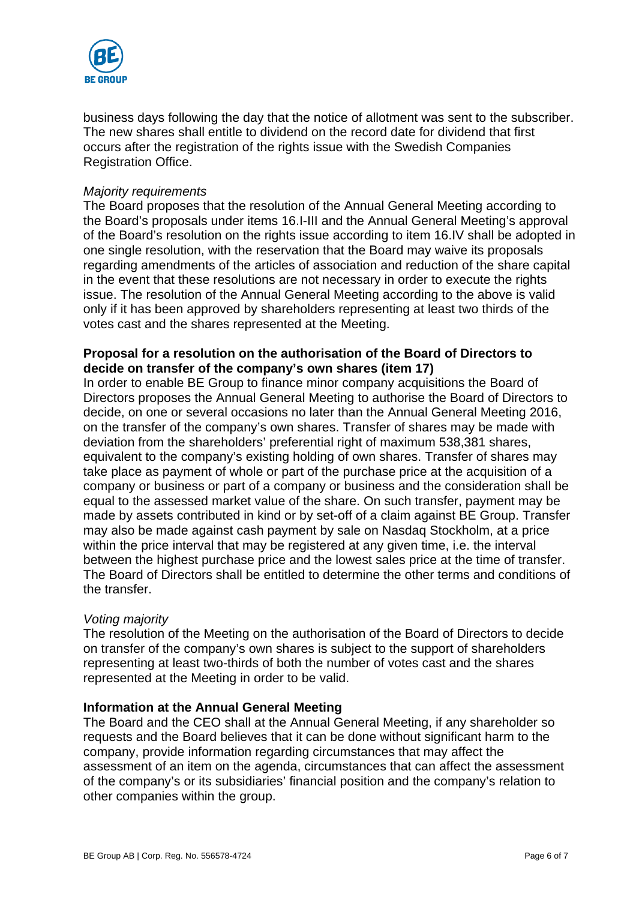

business days following the day that the notice of allotment was sent to the subscriber. The new shares shall entitle to dividend on the record date for dividend that first occurs after the registration of the rights issue with the Swedish Companies Registration Office.

#### *Majority requirements*

The Board proposes that the resolution of the Annual General Meeting according to the Board's proposals under items 16.I-III and the Annual General Meeting's approval of the Board's resolution on the rights issue according to item 16.IV shall be adopted in one single resolution, with the reservation that the Board may waive its proposals regarding amendments of the articles of association and reduction of the share capital in the event that these resolutions are not necessary in order to execute the rights issue. The resolution of the Annual General Meeting according to the above is valid only if it has been approved by shareholders representing at least two thirds of the votes cast and the shares represented at the Meeting.

### **Proposal for a resolution on the authorisation of the Board of Directors to decide on transfer of the company's own shares (item 17)**

In order to enable BE Group to finance minor company acquisitions the Board of Directors proposes the Annual General Meeting to authorise the Board of Directors to decide, on one or several occasions no later than the Annual General Meeting 2016, on the transfer of the company's own shares. Transfer of shares may be made with deviation from the shareholders' preferential right of maximum 538,381 shares, equivalent to the company's existing holding of own shares. Transfer of shares may take place as payment of whole or part of the purchase price at the acquisition of a company or business or part of a company or business and the consideration shall be equal to the assessed market value of the share. On such transfer, payment may be made by assets contributed in kind or by set-off of a claim against BE Group. Transfer may also be made against cash payment by sale on Nasdaq Stockholm, at a price within the price interval that may be registered at any given time, i.e. the interval between the highest purchase price and the lowest sales price at the time of transfer. The Board of Directors shall be entitled to determine the other terms and conditions of the transfer.

#### *Voting majority*

The resolution of the Meeting on the authorisation of the Board of Directors to decide on transfer of the company's own shares is subject to the support of shareholders representing at least two-thirds of both the number of votes cast and the shares represented at the Meeting in order to be valid.

#### **Information at the Annual General Meeting**

The Board and the CEO shall at the Annual General Meeting, if any shareholder so requests and the Board believes that it can be done without significant harm to the company, provide information regarding circumstances that may affect the assessment of an item on the agenda, circumstances that can affect the assessment of the company's or its subsidiaries' financial position and the company's relation to other companies within the group.